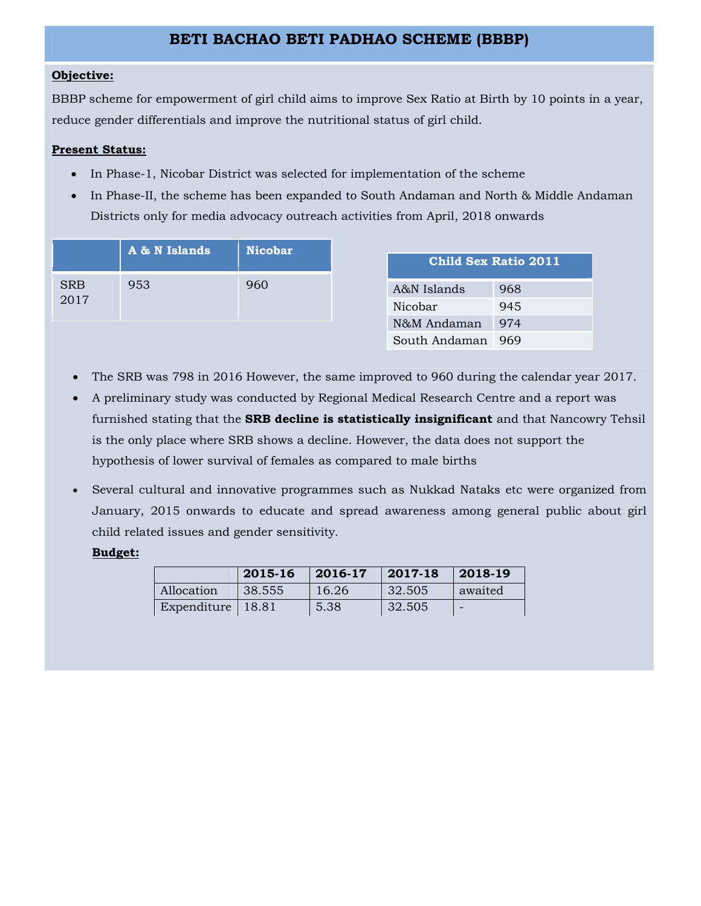# **BETI BACHAO BETI PADHAO SCHEME (BBBP)**

# **Objective:**

BBBP scheme for empowerment of girl child aims to improve Sex Ratio at Birth by 10 points in a year, reduce gender differentials and improve the nutritional status of girl child.

## **Present Status:**

- In Phase-1, Nicobar District was selected for implementation of the scheme
- In Phase-II, the scheme has been expanded to South Andaman and North & Middle Andaman Districts only for media advocacy outreach activities from April, 2018 onwards

|                    | A & N Islands | <b>Nicobar</b> |
|--------------------|---------------|----------------|
| <b>SRB</b><br>2017 | 953           |                |

| <b>Child Sex Ratio 2011</b> |     |  |  |  |  |
|-----------------------------|-----|--|--|--|--|
| A&N Islands                 | 968 |  |  |  |  |
| Nicobar                     | 945 |  |  |  |  |
| N&M Andaman                 | 974 |  |  |  |  |
| South Andaman               | 969 |  |  |  |  |

- The SRB was 798 in 2016 However, the same improved to 960 during the calendar year 2017.
- A preliminary study was conducted by Regional Medical Research Centre and a report was furnished stating that the **SRB decline is statistically insignificant** and that Nancowry Tehsil is the only place where SRB shows a decline. However, the data does not support the hypothesis of lower survival of females as compared to male births
- Several cultural and innovative programmes such as Nukkad Nataks etc were organized from January, 2015 onwards to educate and spread awareness among general public about girl child related issues and gender sensitivity.

## **Budget:**

|             | 2015-16 | $ 2016-17$ | 2017-18 | $ 2018-19$ |
|-------------|---------|------------|---------|------------|
| Allocation  | 38.555  | 16.26      | 32.505  | awaited    |
| Expenditure | 18.81   | 5.38       | 32.505  |            |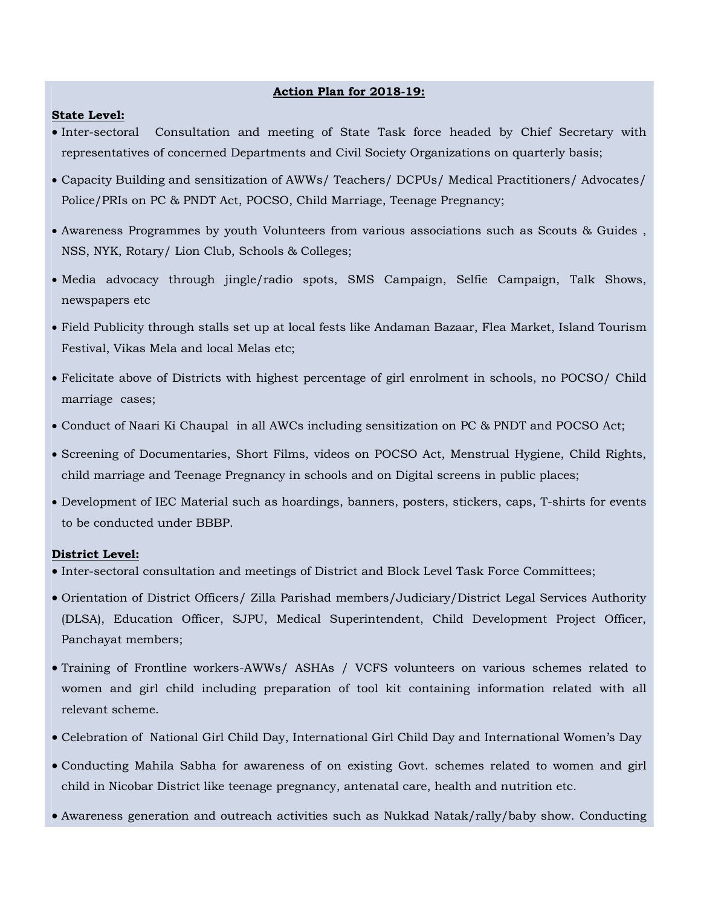#### **Action Plan for 2018-19:**

#### **State Level:**

- Inter-sectoral Consultation and meeting of State Task force headed by Chief Secretary with representatives of concerned Departments and Civil Society Organizations on quarterly basis;
- Capacity Building and sensitization of AWWs/ Teachers/ DCPUs/ Medical Practitioners/ Advocates/ Police/PRIs on PC & PNDT Act, POCSO, Child Marriage, Teenage Pregnancy;
- Awareness Programmes by youth Volunteers from various associations such as Scouts & Guides , NSS, NYK, Rotary/ Lion Club, Schools & Colleges;
- Media advocacy through jingle/radio spots, SMS Campaign, Selfie Campaign, Talk Shows, newspapers etc
- Field Publicity through stalls set up at local fests like Andaman Bazaar, Flea Market, Island Tourism Festival, Vikas Mela and local Melas etc;
- Felicitate above of Districts with highest percentage of girl enrolment in schools, no POCSO/ Child marriage cases;
- Conduct of Naari Ki Chaupal in all AWCs including sensitization on PC & PNDT and POCSO Act;
- Screening of Documentaries, Short Films, videos on POCSO Act, Menstrual Hygiene, Child Rights, child marriage and Teenage Pregnancy in schools and on Digital screens in public places;
- Development of IEC Material such as hoardings, banners, posters, stickers, caps, T-shirts for events to be conducted under BBBP.

#### **District Level:**

- $\bullet$  Inter-sectoral consultation and meetings of District and Block Level Task Force Committees;
- Orientation of District Officers/ Zilla Parishad members/Judiciary/District Legal Services Authority (DLSA), Education Officer, SJPU, Medical Superintendent, Child Development Project Officer, Panchayat members;
- Training of Frontline workers-AWWs/ ASHAs / VCFS volunteers on various schemes related to women and girl child including preparation of tool kit containing information related with all relevant scheme.
- Celebration of National Girl Child Day, International Girl Child Day and International Women's Day
- Conducting Mahila Sabha for awareness of on existing Govt. schemes related to women and girl child in Nicobar District like teenage pregnancy, antenatal care, health and nutrition etc.
- Awareness generation and outreach activities such as Nukkad Natak/rally/baby show. Conducting